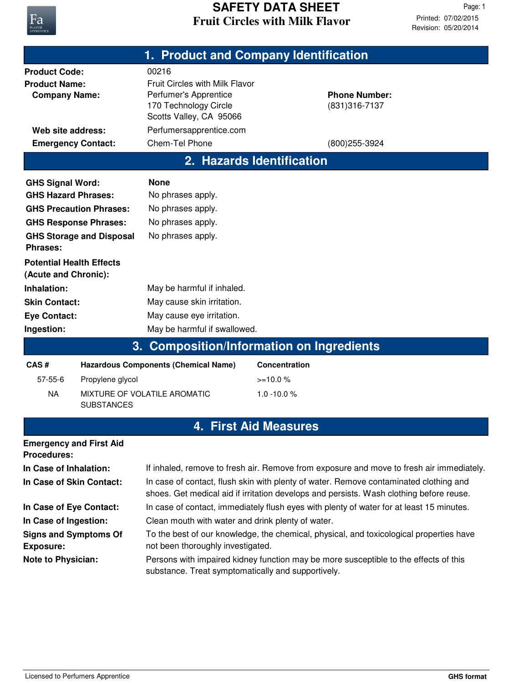

|                                                                                                                                                                                                     |                                                                   | 1. Product and Company Identification                                                                                                                       |               |                                        |  |  |
|-----------------------------------------------------------------------------------------------------------------------------------------------------------------------------------------------------|-------------------------------------------------------------------|-------------------------------------------------------------------------------------------------------------------------------------------------------------|---------------|----------------------------------------|--|--|
| <b>Product Code:</b><br><b>Product Name:</b><br><b>Company Name:</b>                                                                                                                                |                                                                   | 00216<br><b>Fruit Circles with Milk Flavor</b><br>Perfumer's Apprentice<br>170 Technology Circle<br>Scotts Valley, CA 95066                                 |               | <b>Phone Number:</b><br>(831) 316-7137 |  |  |
| Web site address:                                                                                                                                                                                   |                                                                   | Perfumersapprentice.com                                                                                                                                     |               |                                        |  |  |
| <b>Emergency Contact:</b>                                                                                                                                                                           |                                                                   | Chem-Tel Phone                                                                                                                                              |               | (800) 255-3924                         |  |  |
|                                                                                                                                                                                                     |                                                                   | 2. Hazards Identification                                                                                                                                   |               |                                        |  |  |
| <b>GHS Signal Word:</b><br><b>GHS Hazard Phrases:</b><br><b>GHS Response Phrases:</b><br>Phrases:<br><b>Potential Health Effects</b><br>(Acute and Chronic):<br>Inhalation:<br><b>Skin Contact:</b> | <b>GHS Precaution Phrases:</b><br><b>GHS Storage and Disposal</b> | <b>None</b><br>No phrases apply.<br>No phrases apply.<br>No phrases apply.<br>No phrases apply.<br>May be harmful if inhaled.<br>May cause skin irritation. |               |                                        |  |  |
| <b>Eye Contact:</b>                                                                                                                                                                                 |                                                                   | May cause eye irritation.                                                                                                                                   |               |                                        |  |  |
| Ingestion:                                                                                                                                                                                          |                                                                   | May be harmful if swallowed.                                                                                                                                |               |                                        |  |  |
|                                                                                                                                                                                                     | 3.                                                                | <b>Composition/Information on Ingredients</b>                                                                                                               |               |                                        |  |  |
| CAS#                                                                                                                                                                                                | <b>Hazardous Components (Chemical Name)</b>                       |                                                                                                                                                             | Concentration |                                        |  |  |
| $57 - 55 - 6$                                                                                                                                                                                       | Propylene glycol                                                  |                                                                                                                                                             | $>=10.0%$     |                                        |  |  |
| <b>NA</b>                                                                                                                                                                                           | MIXTURE OF VOLATILE AROMATIC                                      |                                                                                                                                                             | 1.0 -10.0%    |                                        |  |  |

## **4. First Aid Measures**

| <b>Emergency and First Aid</b><br><b>Procedures:</b> |                                                                                                                                                                                  |
|------------------------------------------------------|----------------------------------------------------------------------------------------------------------------------------------------------------------------------------------|
| In Case of Inhalation:                               | If inhaled, remove to fresh air. Remove from exposure and move to fresh air immediately.                                                                                         |
| In Case of Skin Contact:                             | In case of contact, flush skin with plenty of water. Remove contaminated clothing and<br>shoes. Get medical aid if irritation develops and persists. Wash clothing before reuse. |
| In Case of Eye Contact:                              | In case of contact, immediately flush eyes with plenty of water for at least 15 minutes.                                                                                         |
| In Case of Ingestion:                                | Clean mouth with water and drink plenty of water.                                                                                                                                |
| <b>Signs and Symptoms Of</b><br><b>Exposure:</b>     | To the best of our knowledge, the chemical, physical, and toxicological properties have<br>not been thoroughly investigated.                                                     |
| <b>Note to Physician:</b>                            | Persons with impaired kidney function may be more susceptible to the effects of this<br>substance. Treat symptomatically and supportively.                                       |

SUBSTANCES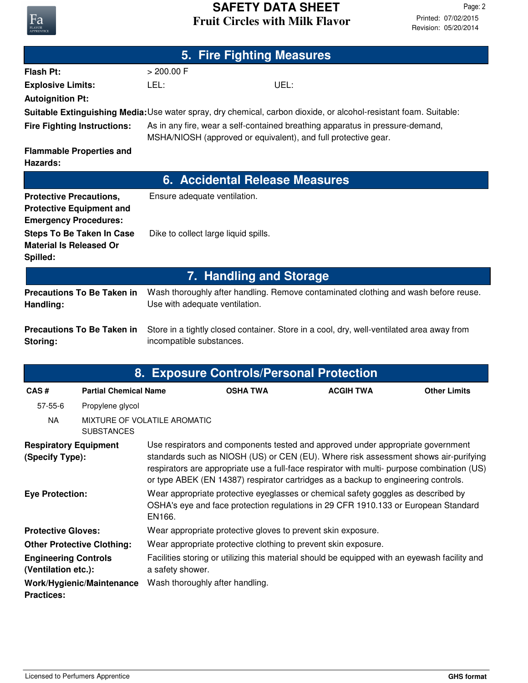

| 5. Fire Fighting Measures                                                                                         |                              |                                                                                                                                                 |                                |                  |                     |  |
|-------------------------------------------------------------------------------------------------------------------|------------------------------|-------------------------------------------------------------------------------------------------------------------------------------------------|--------------------------------|------------------|---------------------|--|
| <b>Flash Pt:</b>                                                                                                  |                              | > 200.00 F                                                                                                                                      |                                |                  |                     |  |
| <b>Explosive Limits:</b>                                                                                          |                              | LEL:<br>UEL:                                                                                                                                    |                                |                  |                     |  |
| <b>Autoignition Pt:</b>                                                                                           |                              |                                                                                                                                                 |                                |                  |                     |  |
| Suitable Extinguishing Media: Use water spray, dry chemical, carbon dioxide, or alcohol-resistant foam. Suitable: |                              |                                                                                                                                                 |                                |                  |                     |  |
| <b>Fire Fighting Instructions:</b>                                                                                |                              | As in any fire, wear a self-contained breathing apparatus in pressure-demand,<br>MSHA/NIOSH (approved or equivalent), and full protective gear. |                                |                  |                     |  |
| <b>Flammable Properties and</b><br>Hazards:                                                                       |                              |                                                                                                                                                 |                                |                  |                     |  |
| <b>6. Accidental Release Measures</b>                                                                             |                              |                                                                                                                                                 |                                |                  |                     |  |
| <b>Protective Precautions,</b><br><b>Protective Equipment and</b><br><b>Emergency Procedures:</b>                 |                              | Ensure adequate ventilation.                                                                                                                    |                                |                  |                     |  |
| <b>Steps To Be Taken In Case</b><br><b>Material Is Released Or</b><br>Spilled:                                    |                              | Dike to collect large liquid spills.                                                                                                            |                                |                  |                     |  |
|                                                                                                                   |                              |                                                                                                                                                 | <b>7. Handling and Storage</b> |                  |                     |  |
| <b>Precautions To Be Taken in</b><br>Handling:                                                                    |                              | Wash thoroughly after handling. Remove contaminated clothing and wash before reuse.<br>Use with adequate ventilation.                           |                                |                  |                     |  |
| <b>Precautions To Be Taken in</b><br>Storing:                                                                     |                              | Store in a tightly closed container. Store in a cool, dry, well-ventilated area away from<br>incompatible substances.                           |                                |                  |                     |  |
| 8. Exposure Controls/Personal Protection                                                                          |                              |                                                                                                                                                 |                                |                  |                     |  |
| CAS#                                                                                                              | <b>Partial Chemical Name</b> |                                                                                                                                                 | <b>OSHA TWA</b>                | <b>ACGIH TWA</b> | <b>Other Limits</b> |  |
| $57 - 55 - 6$                                                                                                     | Propylene glycol             |                                                                                                                                                 |                                |                  |                     |  |
| <b>NA</b>                                                                                                         | <b>SUBSTANCES</b>            | MIXTURE OF VOLATILE AROMATIC                                                                                                                    |                                |                  |                     |  |

| <b>Respiratory Equipment</b><br>(Specify Type):    | Use respirators and components tested and approved under appropriate government<br>standards such as NIOSH (US) or CEN (EU). Where risk assessment shows air-purifying<br>respirators are appropriate use a full-face respirator with multi- purpose combination (US)<br>or type ABEK (EN 14387) respirator cartridges as a backup to engineering controls. |
|----------------------------------------------------|-------------------------------------------------------------------------------------------------------------------------------------------------------------------------------------------------------------------------------------------------------------------------------------------------------------------------------------------------------------|
| <b>Eye Protection:</b>                             | Wear appropriate protective eyeglasses or chemical safety goggles as described by<br>OSHA's eye and face protection regulations in 29 CFR 1910.133 or European Standard<br>EN166.                                                                                                                                                                           |
| <b>Protective Gloves:</b>                          | Wear appropriate protective gloves to prevent skin exposure.                                                                                                                                                                                                                                                                                                |
| <b>Other Protective Clothing:</b>                  | Wear appropriate protective clothing to prevent skin exposure.                                                                                                                                                                                                                                                                                              |
| <b>Engineering Controls</b><br>(Ventilation etc.): | Facilities storing or utilizing this material should be equipped with an eyewash facility and<br>a safety shower.                                                                                                                                                                                                                                           |
| Work/Hygienic/Maintenance<br><b>Practices:</b>     | Wash thoroughly after handling.                                                                                                                                                                                                                                                                                                                             |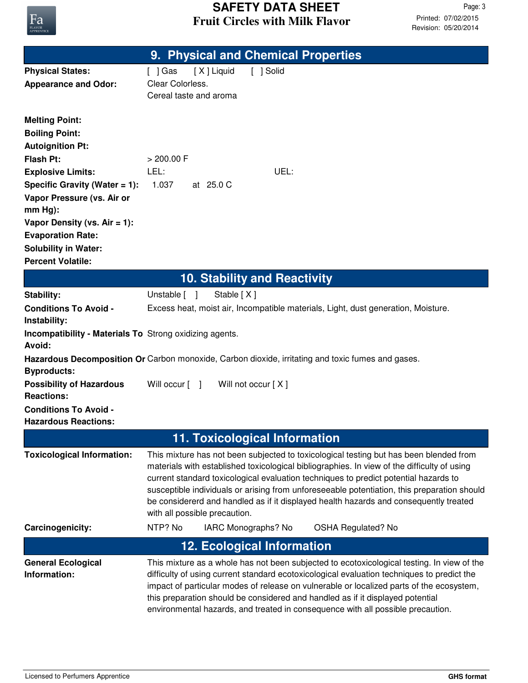

|                                                                | 9. Physical and Chemical Properties                                                                                                                                                    |  |  |
|----------------------------------------------------------------|----------------------------------------------------------------------------------------------------------------------------------------------------------------------------------------|--|--|
| <b>Physical States:</b>                                        | [X] Liquid<br>[ ] Solid<br>[ ] Gas                                                                                                                                                     |  |  |
| <b>Appearance and Odor:</b>                                    | Clear Colorless.                                                                                                                                                                       |  |  |
|                                                                | Cereal taste and aroma                                                                                                                                                                 |  |  |
|                                                                |                                                                                                                                                                                        |  |  |
| <b>Melting Point:</b><br><b>Boiling Point:</b>                 |                                                                                                                                                                                        |  |  |
| <b>Autoignition Pt:</b>                                        |                                                                                                                                                                                        |  |  |
| <b>Flash Pt:</b>                                               | > 200.00 F                                                                                                                                                                             |  |  |
| <b>Explosive Limits:</b>                                       | LEL:<br>UEL:                                                                                                                                                                           |  |  |
| Specific Gravity (Water = 1):                                  | 1.037<br>at 25.0 C                                                                                                                                                                     |  |  |
| Vapor Pressure (vs. Air or                                     |                                                                                                                                                                                        |  |  |
| $mm Hg$ :                                                      |                                                                                                                                                                                        |  |  |
| Vapor Density (vs. $Air = 1$ ):                                |                                                                                                                                                                                        |  |  |
| <b>Evaporation Rate:</b>                                       |                                                                                                                                                                                        |  |  |
| <b>Solubility in Water:</b>                                    |                                                                                                                                                                                        |  |  |
| <b>Percent Volatile:</b>                                       |                                                                                                                                                                                        |  |  |
|                                                                | <b>10. Stability and Reactivity</b>                                                                                                                                                    |  |  |
| <b>Stability:</b>                                              | Unstable [ ]<br>Stable [X]                                                                                                                                                             |  |  |
| <b>Conditions To Avoid -</b>                                   | Excess heat, moist air, Incompatible materials, Light, dust generation, Moisture.                                                                                                      |  |  |
| Instability:                                                   |                                                                                                                                                                                        |  |  |
| <b>Incompatibility - Materials To Strong oxidizing agents.</b> |                                                                                                                                                                                        |  |  |
| Avoid:                                                         |                                                                                                                                                                                        |  |  |
| <b>Byproducts:</b>                                             | Hazardous Decomposition Or Carbon monoxide, Carbon dioxide, irritating and toxic fumes and gases.                                                                                      |  |  |
| <b>Possibility of Hazardous</b>                                | Will occur $\lceil \quad \rceil$<br>Will not occur [X]                                                                                                                                 |  |  |
| <b>Reactions:</b>                                              |                                                                                                                                                                                        |  |  |
| <b>Conditions To Avoid -</b>                                   |                                                                                                                                                                                        |  |  |
| <b>Hazardous Reactions:</b>                                    |                                                                                                                                                                                        |  |  |
| <b>11. Toxicological Information</b>                           |                                                                                                                                                                                        |  |  |
| <b>Toxicological Information:</b>                              | This mixture has not been subjected to toxicological testing but has been blended from                                                                                                 |  |  |
|                                                                | materials with established toxicological bibliographies. In view of the difficulty of using                                                                                            |  |  |
|                                                                | current standard toxicological evaluation techniques to predict potential hazards to                                                                                                   |  |  |
|                                                                | susceptible individuals or arising from unforeseeable potentiation, this preparation should<br>be considererd and handled as if it displayed health hazards and consequently treated   |  |  |
|                                                                | with all possible precaution.                                                                                                                                                          |  |  |
| Carcinogenicity:                                               | NTP? No<br>IARC Monographs? No<br><b>OSHA Regulated? No</b>                                                                                                                            |  |  |
|                                                                |                                                                                                                                                                                        |  |  |
|                                                                | <b>12. Ecological Information</b>                                                                                                                                                      |  |  |
| <b>General Ecological</b><br>Information:                      | This mixture as a whole has not been subjected to ecotoxicological testing. In view of the                                                                                             |  |  |
|                                                                | difficulty of using current standard ecotoxicological evaluation techniques to predict the<br>impact of particular modes of release on vulnerable or localized parts of the ecosystem, |  |  |
|                                                                | this preparation should be considered and handled as if it displayed potential                                                                                                         |  |  |
|                                                                | environmental hazards, and treated in consequence with all possible precaution.                                                                                                        |  |  |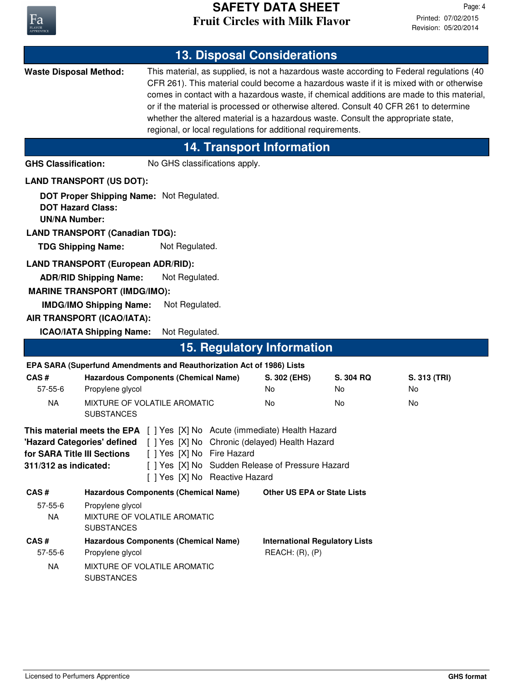

| <b>13. Disposal Considerations</b>                                                                                                                                                                                                       |                                                                       |                                                                       |                                                                                                    |                                                             |                                                                                   |                                                                                                                                                                                                                                                                                                                                                                            |
|------------------------------------------------------------------------------------------------------------------------------------------------------------------------------------------------------------------------------------------|-----------------------------------------------------------------------|-----------------------------------------------------------------------|----------------------------------------------------------------------------------------------------|-------------------------------------------------------------|-----------------------------------------------------------------------------------|----------------------------------------------------------------------------------------------------------------------------------------------------------------------------------------------------------------------------------------------------------------------------------------------------------------------------------------------------------------------------|
| <b>Waste Disposal Method:</b>                                                                                                                                                                                                            |                                                                       |                                                                       |                                                                                                    | regional, or local regulations for additional requirements. | whether the altered material is a hazardous waste. Consult the appropriate state, | This material, as supplied, is not a hazardous waste according to Federal regulations (40<br>CFR 261). This material could become a hazardous waste if it is mixed with or otherwise<br>comes in contact with a hazardous waste, if chemical additions are made to this material,<br>or if the material is processed or otherwise altered. Consult 40 CFR 261 to determine |
|                                                                                                                                                                                                                                          |                                                                       |                                                                       |                                                                                                    | <b>14. Transport Information</b>                            |                                                                                   |                                                                                                                                                                                                                                                                                                                                                                            |
| <b>GHS Classification:</b>                                                                                                                                                                                                               |                                                                       | No GHS classifications apply.                                         |                                                                                                    |                                                             |                                                                                   |                                                                                                                                                                                                                                                                                                                                                                            |
|                                                                                                                                                                                                                                          | <b>LAND TRANSPORT (US DOT):</b>                                       |                                                                       |                                                                                                    |                                                             |                                                                                   |                                                                                                                                                                                                                                                                                                                                                                            |
| <b>DOT Hazard Class:</b><br><b>UN/NA Number:</b>                                                                                                                                                                                         | <b>LAND TRANSPORT (Canadian TDG):</b>                                 | DOT Proper Shipping Name: Not Regulated.                              |                                                                                                    |                                                             |                                                                                   |                                                                                                                                                                                                                                                                                                                                                                            |
| <b>TDG Shipping Name:</b>                                                                                                                                                                                                                |                                                                       | Not Regulated.                                                        |                                                                                                    |                                                             |                                                                                   |                                                                                                                                                                                                                                                                                                                                                                            |
|                                                                                                                                                                                                                                          | <b>LAND TRANSPORT (European ADR/RID):</b>                             |                                                                       |                                                                                                    |                                                             |                                                                                   |                                                                                                                                                                                                                                                                                                                                                                            |
|                                                                                                                                                                                                                                          | <b>ADR/RID Shipping Name:</b>                                         | Not Regulated.                                                        |                                                                                                    |                                                             |                                                                                   |                                                                                                                                                                                                                                                                                                                                                                            |
|                                                                                                                                                                                                                                          | <b>MARINE TRANSPORT (IMDG/IMO):</b><br><b>IMDG/IMO Shipping Name:</b> | Not Regulated.                                                        |                                                                                                    |                                                             |                                                                                   |                                                                                                                                                                                                                                                                                                                                                                            |
|                                                                                                                                                                                                                                          | AIR TRANSPORT (ICAO/IATA):                                            |                                                                       |                                                                                                    |                                                             |                                                                                   |                                                                                                                                                                                                                                                                                                                                                                            |
|                                                                                                                                                                                                                                          | <b>ICAO/IATA Shipping Name:</b>                                       | Not Regulated.                                                        |                                                                                                    |                                                             |                                                                                   |                                                                                                                                                                                                                                                                                                                                                                            |
|                                                                                                                                                                                                                                          |                                                                       |                                                                       |                                                                                                    | <b>15. Regulatory Information</b>                           |                                                                                   |                                                                                                                                                                                                                                                                                                                                                                            |
|                                                                                                                                                                                                                                          |                                                                       | EPA SARA (Superfund Amendments and Reauthorization Act of 1986) Lists |                                                                                                    |                                                             |                                                                                   |                                                                                                                                                                                                                                                                                                                                                                            |
| CAS#<br>$57 - 55 - 6$                                                                                                                                                                                                                    | Propylene glycol                                                      | <b>Hazardous Components (Chemical Name)</b>                           |                                                                                                    | S. 302 (EHS)<br>No                                          | S. 304 RQ<br>No                                                                   | S. 313 (TRI)<br>No                                                                                                                                                                                                                                                                                                                                                         |
| <b>NA</b>                                                                                                                                                                                                                                |                                                                       | MIXTURE OF VOLATILE AROMATIC                                          |                                                                                                    | No.                                                         | No                                                                                | No                                                                                                                                                                                                                                                                                                                                                                         |
|                                                                                                                                                                                                                                          | <b>SUBSTANCES</b>                                                     |                                                                       |                                                                                                    |                                                             |                                                                                   |                                                                                                                                                                                                                                                                                                                                                                            |
| <b>This material meets the EPA</b> [ ] Yes [X] No Acute (immediate) Health Hazard<br>'Hazard Categories' defined<br>for SARA Title III Sections<br>[ ] Yes [X] No Fire Hazard<br>311/312 as indicated:<br>[ ] Yes [X] No Reactive Hazard |                                                                       |                                                                       | [ ] Yes [X] No Chronic (delayed) Health Hazard<br>[ ] Yes [X] No Sudden Release of Pressure Hazard |                                                             |                                                                                   |                                                                                                                                                                                                                                                                                                                                                                            |
| CAS#                                                                                                                                                                                                                                     |                                                                       | <b>Hazardous Components (Chemical Name)</b>                           |                                                                                                    | <b>Other US EPA or State Lists</b>                          |                                                                                   |                                                                                                                                                                                                                                                                                                                                                                            |
| $57 - 55 - 6$<br><b>NA</b>                                                                                                                                                                                                               | Propylene glycol<br><b>SUBSTANCES</b>                                 | MIXTURE OF VOLATILE AROMATIC                                          |                                                                                                    |                                                             |                                                                                   |                                                                                                                                                                                                                                                                                                                                                                            |
| CAS#<br>$57 - 55 - 6$                                                                                                                                                                                                                    | Propylene glycol                                                      | <b>Hazardous Components (Chemical Name)</b>                           |                                                                                                    | <b>International Regulatory Lists</b><br>REACH: (R), (P)    |                                                                                   |                                                                                                                                                                                                                                                                                                                                                                            |
| <b>NA</b>                                                                                                                                                                                                                                | <b>SUBSTANCES</b>                                                     | MIXTURE OF VOLATILE AROMATIC                                          |                                                                                                    |                                                             |                                                                                   |                                                                                                                                                                                                                                                                                                                                                                            |